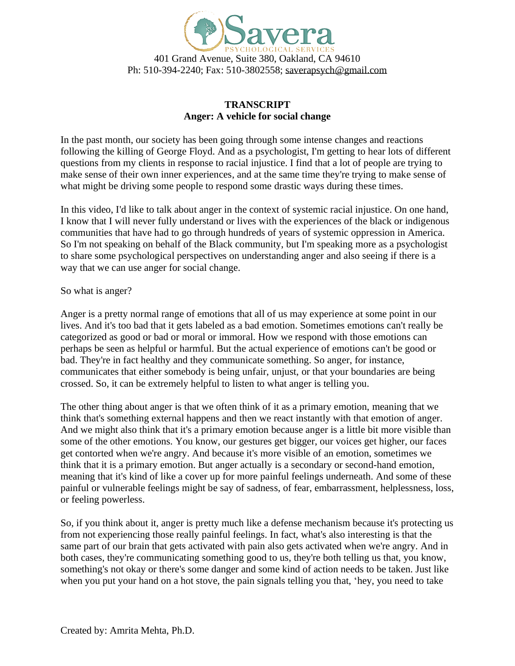

## **TRANSCRIPT Anger: A vehicle for social change**

In the past month, our society has been going through some intense changes and reactions following the killing of George Floyd. And as a psychologist, I'm getting to hear lots of different questions from my clients in response to racial injustice. I find that a lot of people are trying to make sense of their own inner experiences, and at the same time they're trying to make sense of what might be driving some people to respond some drastic ways during these times.

In this video, I'd like to talk about anger in the context of systemic racial injustice. On one hand, I know that I will never fully understand or lives with the experiences of the black or indigenous communities that have had to go through hundreds of years of systemic oppression in America. So I'm not speaking on behalf of the Black community, but I'm speaking more as a psychologist to share some psychological perspectives on understanding anger and also seeing if there is a way that we can use anger for social change.

## So what is anger?

Anger is a pretty normal range of emotions that all of us may experience at some point in our lives. And it's too bad that it gets labeled as a bad emotion. Sometimes emotions can't really be categorized as good or bad or moral or immoral. How we respond with those emotions can perhaps be seen as helpful or harmful. But the actual experience of emotions can't be good or bad. They're in fact healthy and they communicate something. So anger, for instance, communicates that either somebody is being unfair, unjust, or that your boundaries are being crossed. So, it can be extremely helpful to listen to what anger is telling you.

The other thing about anger is that we often think of it as a primary emotion, meaning that we think that's something external happens and then we react instantly with that emotion of anger. And we might also think that it's a primary emotion because anger is a little bit more visible than some of the other emotions. You know, our gestures get bigger, our voices get higher, our faces get contorted when we're angry. And because it's more visible of an emotion, sometimes we think that it is a primary emotion. But anger actually is a secondary or second-hand emotion, meaning that it's kind of like a cover up for more painful feelings underneath. And some of these painful or vulnerable feelings might be say of sadness, of fear, embarrassment, helplessness, loss, or feeling powerless.

So, if you think about it, anger is pretty much like a defense mechanism because it's protecting us from not experiencing those really painful feelings. In fact, what's also interesting is that the same part of our brain that gets activated with pain also gets activated when we're angry. And in both cases, they're communicating something good to us, they're both telling us that, you know, something's not okay or there's some danger and some kind of action needs to be taken. Just like when you put your hand on a hot stove, the pain signals telling you that, 'hey, you need to take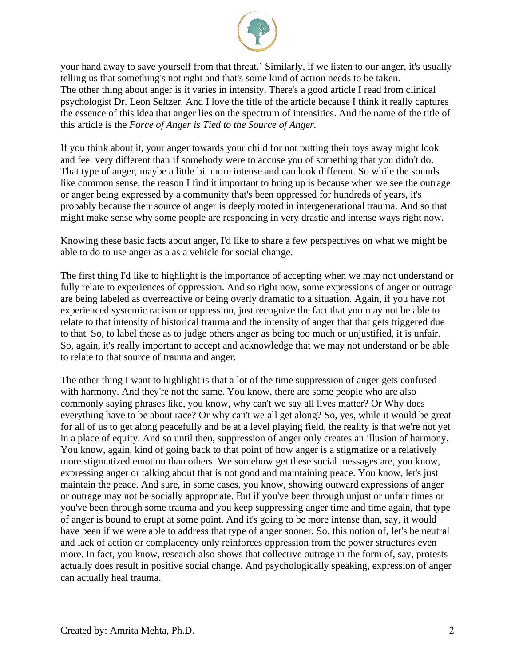

your hand away to save yourself from that threat.' Similarly, if we listen to our anger, it's usually telling us that something's not right and that's some kind of action needs to be taken. The other thing about anger is it varies in intensity. There's a good article I read from clinical psychologist Dr. Leon Seltzer. And I love the title of the article because I think it really captures the essence of this idea that anger lies on the spectrum of intensities. And the name of the title of this article is the *Force of Anger is Tied to the Source of Anger.*

If you think about it, your anger towards your child for not putting their toys away might look and feel very different than if somebody were to accuse you of something that you didn't do. That type of anger, maybe a little bit more intense and can look different. So while the sounds like common sense, the reason I find it important to bring up is because when we see the outrage or anger being expressed by a community that's been oppressed for hundreds of years, it's probably because their source of anger is deeply rooted in intergenerational trauma. And so that might make sense why some people are responding in very drastic and intense ways right now.

Knowing these basic facts about anger, I'd like to share a few perspectives on what we might be able to do to use anger as a as a vehicle for social change.

The first thing I'd like to highlight is the importance of accepting when we may not understand or fully relate to experiences of oppression. And so right now, some expressions of anger or outrage are being labeled as overreactive or being overly dramatic to a situation. Again, if you have not experienced systemic racism or oppression, just recognize the fact that you may not be able to relate to that intensity of historical trauma and the intensity of anger that that gets triggered due to that. So, to label those as to judge others anger as being too much or unjustified, it is unfair. So, again, it's really important to accept and acknowledge that we may not understand or be able to relate to that source of trauma and anger.

The other thing I want to highlight is that a lot of the time suppression of anger gets confused with harmony. And they're not the same. You know, there are some people who are also commonly saying phrases like, you know, why can't we say all lives matter? Or Why does everything have to be about race? Or why can't we all get along? So, yes, while it would be great for all of us to get along peacefully and be at a level playing field, the reality is that we're not yet in a place of equity. And so until then, suppression of anger only creates an illusion of harmony. You know, again, kind of going back to that point of how anger is a stigmatize or a relatively more stigmatized emotion than others. We somehow get these social messages are, you know, expressing anger or talking about that is not good and maintaining peace. You know, let's just maintain the peace. And sure, in some cases, you know, showing outward expressions of anger or outrage may not be socially appropriate. But if you've been through unjust or unfair times or you've been through some trauma and you keep suppressing anger time and time again, that type of anger is bound to erupt at some point. And it's going to be more intense than, say, it would have been if we were able to address that type of anger sooner. So, this notion of, let's be neutral and lack of action or complacency only reinforces oppression from the power structures even more. In fact, you know, research also shows that collective outrage in the form of, say, protests actually does result in positive social change. And psychologically speaking, expression of anger can actually heal trauma.